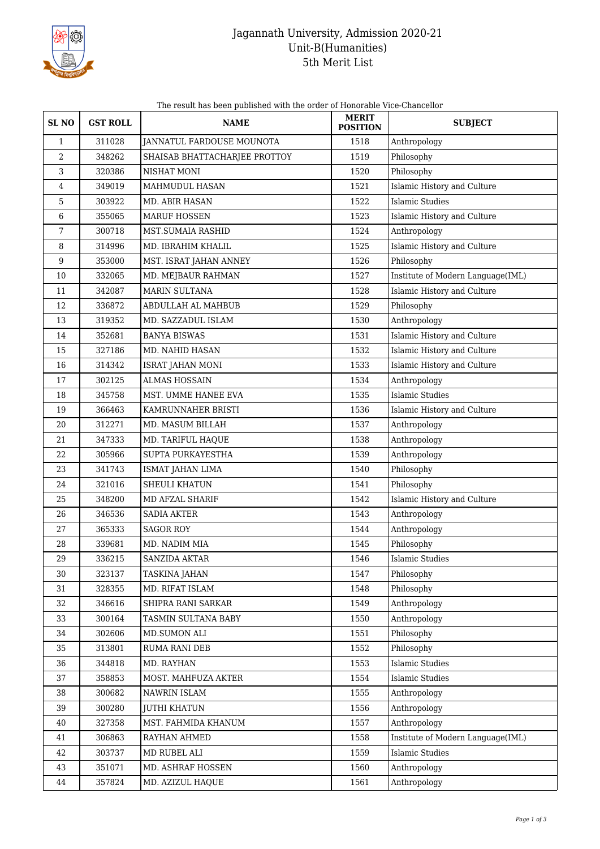

## Jagannath University, Admission 2020-21 Unit-B(Humanities) 5th Merit List

| The result has been published with the order of Honorable Vice-Chancellor |  |
|---------------------------------------------------------------------------|--|
|                                                                           |  |

| <b>SLNO</b>  | <b>GST ROLL</b> | <b>NAME</b>                   | <b>MERIT</b><br><b>POSITION</b> | <b>SUBJECT</b>                    |
|--------------|-----------------|-------------------------------|---------------------------------|-----------------------------------|
| $\mathbf{1}$ | 311028          | JANNATUL FARDOUSE MOUNOTA     | 1518                            | Anthropology                      |
| 2            | 348262          | SHAISAB BHATTACHARJEE PROTTOY | 1519                            | Philosophy                        |
| 3            | 320386          | NISHAT MONI                   | 1520                            | Philosophy                        |
| 4            | 349019          | MAHMUDUL HASAN                | 1521                            | Islamic History and Culture       |
| 5            | 303922          | MD. ABIR HASAN                | 1522                            | Islamic Studies                   |
| 6            | 355065          | <b>MARUF HOSSEN</b>           | 1523                            | Islamic History and Culture       |
| 7            | 300718          | MST.SUMAIA RASHID             | 1524                            | Anthropology                      |
| 8            | 314996          | MD. IBRAHIM KHALIL            | 1525                            | Islamic History and Culture       |
| 9            | 353000          | MST. ISRAT JAHAN ANNEY        | 1526                            | Philosophy                        |
| 10           | 332065          | MD. MEJBAUR RAHMAN            | 1527                            | Institute of Modern Language(IML) |
| 11           | 342087          | <b>MARIN SULTANA</b>          | 1528                            | Islamic History and Culture       |
| 12           | 336872          | ABDULLAH AL MAHBUB            | 1529                            | Philosophy                        |
| 13           | 319352          | MD. SAZZADUL ISLAM            | 1530                            | Anthropology                      |
| 14           | 352681          | <b>BANYA BISWAS</b>           | 1531                            | Islamic History and Culture       |
| 15           | 327186          | MD. NAHID HASAN               | 1532                            | Islamic History and Culture       |
| 16           | 314342          | ISRAT JAHAN MONI              | 1533                            | Islamic History and Culture       |
| 17           | 302125          | <b>ALMAS HOSSAIN</b>          | 1534                            | Anthropology                      |
| 18           | 345758          | MST. UMME HANEE EVA           | 1535                            | Islamic Studies                   |
| 19           | 366463          | KAMRUNNAHER BRISTI            | 1536                            | Islamic History and Culture       |
| 20           | 312271          | MD. MASUM BILLAH              | 1537                            | Anthropology                      |
| 21           | 347333          | MD. TARIFUL HAQUE             | 1538                            | Anthropology                      |
| 22           | 305966          | SUPTA PURKAYESTHA             | 1539                            | Anthropology                      |
| 23           | 341743          | ISMAT JAHAN LIMA              | 1540                            | Philosophy                        |
| 24           | 321016          | SHEULI KHATUN                 | 1541                            | Philosophy                        |
| 25           | 348200          | MD AFZAL SHARIF               | 1542                            | Islamic History and Culture       |
| 26           | 346536          | <b>SADIA AKTER</b>            | 1543                            | Anthropology                      |
| 27           | 365333          | <b>SAGOR ROY</b>              | 1544                            | Anthropology                      |
| 28           | 339681          | MD. NADIM MIA                 | 1545                            | Philosophy                        |
| 29           | 336215          | <b>SANZIDA AKTAR</b>          | 1546                            | <b>Islamic Studies</b>            |
| 30           | 323137          | TASKINA JAHAN                 | 1547                            | Philosophy                        |
| 31           | 328355          | MD. RIFAT ISLAM               | 1548                            | Philosophy                        |
| 32           | 346616          | SHIPRA RANI SARKAR            | 1549                            | Anthropology                      |
| 33           | 300164          | TASMIN SULTANA BABY           | 1550                            | Anthropology                      |
| 34           | 302606          | MD.SUMON ALI                  | 1551                            | Philosophy                        |
| 35           | 313801          | RUMA RANI DEB                 | 1552                            | Philosophy                        |
| 36           | 344818          | MD. RAYHAN                    | 1553                            | <b>Islamic Studies</b>            |
| 37           | 358853          | MOST. MAHFUZA AKTER           | 1554                            | <b>Islamic Studies</b>            |
| 38           | 300682          | NAWRIN ISLAM                  | 1555                            | Anthropology                      |
| 39           | 300280          | <b>JUTHI KHATUN</b>           | 1556                            | Anthropology                      |
| 40           | 327358          | MST. FAHMIDA KHANUM           | 1557                            | Anthropology                      |
| 41           | 306863          | RAYHAN AHMED                  | 1558                            | Institute of Modern Language(IML) |
| 42           | 303737          | MD RUBEL ALI                  | 1559                            | <b>Islamic Studies</b>            |
| 43           | 351071          | MD. ASHRAF HOSSEN             | 1560                            | Anthropology                      |
| 44           | 357824          | MD. AZIZUL HAQUE              | 1561                            | Anthropology                      |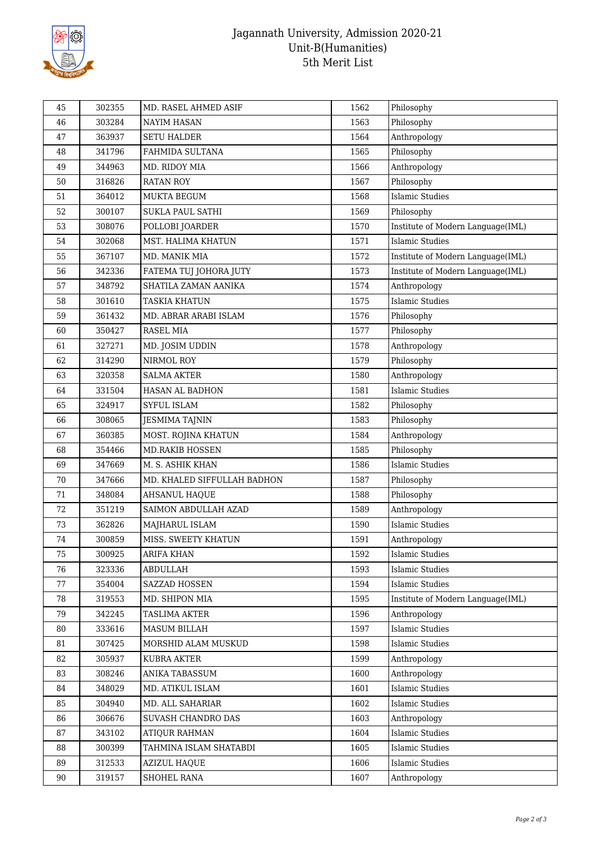

## Jagannath University, Admission 2020-21 Unit-B(Humanities) 5th Merit List

| Philosophy<br>1563<br>46<br>303284<br><b>NAYIM HASAN</b><br>Anthropology<br>47<br>363937<br><b>SETU HALDER</b><br>1564<br>Philosophy<br>48<br>341796<br>FAHMIDA SULTANA<br>1565<br>Anthropology<br>49<br>344963<br>MD. RIDOY MIA<br>1566<br>Philosophy<br>50<br>316826<br><b>RATAN ROY</b><br>1567<br><b>Islamic Studies</b><br>364012<br>MUKTA BEGUM<br>1568<br>51<br>1569<br>52<br>300107<br>SUKLA PAUL SATHI<br>Philosophy<br>53<br>308076<br>1570<br>Institute of Modern Language(IML)<br>POLLOBI JOARDER<br>MST. HALIMA KHATUN<br>1571<br>54<br>302068<br>Islamic Studies<br>Institute of Modern Language(IML)<br>55<br>367107<br>MD. MANIK MIA<br>1572<br>56<br>342336<br>FATEMA TUJ JOHORA JUTY<br>1573<br>Institute of Modern Language(IML)<br>57<br>348792<br>SHATILA ZAMAN AANIKA<br>1574<br>Anthropology<br><b>Islamic Studies</b><br>301610<br><b>TASKIA KHATUN</b><br>1575<br>58<br>59<br>361432<br>Philosophy<br>MD. ABRAR ARABI ISLAM<br>1576<br>1577<br>Philosophy<br>60<br>350427<br>RASEL MIA<br>61<br>MD. JOSIM UDDIN<br>1578<br>Anthropology<br>327271<br>Philosophy<br>62<br>314290<br>NIRMOL ROY<br>1579<br>Anthropology<br>63<br>320358<br><b>SALMA AKTER</b><br>1580<br><b>Islamic Studies</b><br>64<br>331504<br>1581<br>HASAN AL BADHON<br>SYFUL ISLAM<br>1582<br>Philosophy<br>65<br>324917<br>Philosophy<br>1583<br>66<br>308065<br>JESMIMA TAJNIN<br>MOST. ROJINA KHATUN<br>1584<br>Anthropology<br>67<br>360385<br><b>MD.RAKIB HOSSEN</b><br>1585<br>Philosophy<br>68<br>354466<br><b>Islamic Studies</b><br>1586<br>69<br>347669<br>M. S. ASHIK KHAN<br>70<br>347666<br>MD. KHALED SIFFULLAH BADHON<br>1587<br>Philosophy<br>Philosophy<br>348084<br>AHSANUL HAQUE<br>1588<br>71<br>SAIMON ABDULLAH AZAD<br>Anthropology<br>72<br>351219<br>1589<br><b>Islamic Studies</b><br>362826<br>1590<br>73<br>MAJHARUL ISLAM<br>74<br>MISS. SWEETY KHATUN<br>1591<br>Anthropology<br>300859<br>300925<br>1592<br><b>Islamic Studies</b><br><b>ARIFA KHAN</b><br>75<br>76<br>323336<br><b>ABDULLAH</b><br>1593<br>Islamic Studies<br>77<br>354004<br>SAZZAD HOSSEN<br>1594<br><b>Islamic Studies</b><br>1595<br>Institute of Modern Language(IML)<br>78<br>319553<br>MD. SHIPON MIA<br>1596<br>79<br>342245<br>TASLIMA AKTER<br>Anthropology<br><b>Islamic Studies</b><br>333616<br>MASUM BILLAH<br>1597<br>80<br>307425<br>1598<br><b>Islamic Studies</b><br>81<br>MORSHID ALAM MUSKUD<br>82<br>305937<br>1599<br>Anthropology<br>KUBRA AKTER<br>83<br>1600<br>308246<br>ANIKA TABASSUM<br>Anthropology<br>1601<br><b>Islamic Studies</b><br>84<br>348029<br>MD. ATIKUL ISLAM<br>85<br>304940<br>MD. ALL SAHARIAR<br>1602<br><b>Islamic Studies</b><br>306676<br>SUVASH CHANDRO DAS<br>1603<br>Anthropology<br>86<br><b>Islamic Studies</b><br>87<br>343102<br>1604<br><b>ATIQUR RAHMAN</b><br>300399<br>TAHMINA ISLAM SHATABDI<br>1605<br>Islamic Studies<br>88<br>89<br>1606<br><b>Islamic Studies</b><br>312533<br><b>AZIZUL HAQUE</b><br>$90\,$<br>319157<br>SHOHEL RANA<br>1607<br>Anthropology | 45 | 302355 | MD. RASEL AHMED ASIF | 1562 | Philosophy |
|-----------------------------------------------------------------------------------------------------------------------------------------------------------------------------------------------------------------------------------------------------------------------------------------------------------------------------------------------------------------------------------------------------------------------------------------------------------------------------------------------------------------------------------------------------------------------------------------------------------------------------------------------------------------------------------------------------------------------------------------------------------------------------------------------------------------------------------------------------------------------------------------------------------------------------------------------------------------------------------------------------------------------------------------------------------------------------------------------------------------------------------------------------------------------------------------------------------------------------------------------------------------------------------------------------------------------------------------------------------------------------------------------------------------------------------------------------------------------------------------------------------------------------------------------------------------------------------------------------------------------------------------------------------------------------------------------------------------------------------------------------------------------------------------------------------------------------------------------------------------------------------------------------------------------------------------------------------------------------------------------------------------------------------------------------------------------------------------------------------------------------------------------------------------------------------------------------------------------------------------------------------------------------------------------------------------------------------------------------------------------------------------------------------------------------------------------------------------------------------------------------------------------------------------------------------------------------------------------------------------------------------------------------------------------------------------------------------------------------------------------------------------------------------------------------------------------------------------------------------------------------------------------------------------------------------------------------------------------------------------------------------------------------|----|--------|----------------------|------|------------|
|                                                                                                                                                                                                                                                                                                                                                                                                                                                                                                                                                                                                                                                                                                                                                                                                                                                                                                                                                                                                                                                                                                                                                                                                                                                                                                                                                                                                                                                                                                                                                                                                                                                                                                                                                                                                                                                                                                                                                                                                                                                                                                                                                                                                                                                                                                                                                                                                                                                                                                                                                                                                                                                                                                                                                                                                                                                                                                                                                                                                                             |    |        |                      |      |            |
|                                                                                                                                                                                                                                                                                                                                                                                                                                                                                                                                                                                                                                                                                                                                                                                                                                                                                                                                                                                                                                                                                                                                                                                                                                                                                                                                                                                                                                                                                                                                                                                                                                                                                                                                                                                                                                                                                                                                                                                                                                                                                                                                                                                                                                                                                                                                                                                                                                                                                                                                                                                                                                                                                                                                                                                                                                                                                                                                                                                                                             |    |        |                      |      |            |
|                                                                                                                                                                                                                                                                                                                                                                                                                                                                                                                                                                                                                                                                                                                                                                                                                                                                                                                                                                                                                                                                                                                                                                                                                                                                                                                                                                                                                                                                                                                                                                                                                                                                                                                                                                                                                                                                                                                                                                                                                                                                                                                                                                                                                                                                                                                                                                                                                                                                                                                                                                                                                                                                                                                                                                                                                                                                                                                                                                                                                             |    |        |                      |      |            |
|                                                                                                                                                                                                                                                                                                                                                                                                                                                                                                                                                                                                                                                                                                                                                                                                                                                                                                                                                                                                                                                                                                                                                                                                                                                                                                                                                                                                                                                                                                                                                                                                                                                                                                                                                                                                                                                                                                                                                                                                                                                                                                                                                                                                                                                                                                                                                                                                                                                                                                                                                                                                                                                                                                                                                                                                                                                                                                                                                                                                                             |    |        |                      |      |            |
|                                                                                                                                                                                                                                                                                                                                                                                                                                                                                                                                                                                                                                                                                                                                                                                                                                                                                                                                                                                                                                                                                                                                                                                                                                                                                                                                                                                                                                                                                                                                                                                                                                                                                                                                                                                                                                                                                                                                                                                                                                                                                                                                                                                                                                                                                                                                                                                                                                                                                                                                                                                                                                                                                                                                                                                                                                                                                                                                                                                                                             |    |        |                      |      |            |
|                                                                                                                                                                                                                                                                                                                                                                                                                                                                                                                                                                                                                                                                                                                                                                                                                                                                                                                                                                                                                                                                                                                                                                                                                                                                                                                                                                                                                                                                                                                                                                                                                                                                                                                                                                                                                                                                                                                                                                                                                                                                                                                                                                                                                                                                                                                                                                                                                                                                                                                                                                                                                                                                                                                                                                                                                                                                                                                                                                                                                             |    |        |                      |      |            |
|                                                                                                                                                                                                                                                                                                                                                                                                                                                                                                                                                                                                                                                                                                                                                                                                                                                                                                                                                                                                                                                                                                                                                                                                                                                                                                                                                                                                                                                                                                                                                                                                                                                                                                                                                                                                                                                                                                                                                                                                                                                                                                                                                                                                                                                                                                                                                                                                                                                                                                                                                                                                                                                                                                                                                                                                                                                                                                                                                                                                                             |    |        |                      |      |            |
|                                                                                                                                                                                                                                                                                                                                                                                                                                                                                                                                                                                                                                                                                                                                                                                                                                                                                                                                                                                                                                                                                                                                                                                                                                                                                                                                                                                                                                                                                                                                                                                                                                                                                                                                                                                                                                                                                                                                                                                                                                                                                                                                                                                                                                                                                                                                                                                                                                                                                                                                                                                                                                                                                                                                                                                                                                                                                                                                                                                                                             |    |        |                      |      |            |
|                                                                                                                                                                                                                                                                                                                                                                                                                                                                                                                                                                                                                                                                                                                                                                                                                                                                                                                                                                                                                                                                                                                                                                                                                                                                                                                                                                                                                                                                                                                                                                                                                                                                                                                                                                                                                                                                                                                                                                                                                                                                                                                                                                                                                                                                                                                                                                                                                                                                                                                                                                                                                                                                                                                                                                                                                                                                                                                                                                                                                             |    |        |                      |      |            |
|                                                                                                                                                                                                                                                                                                                                                                                                                                                                                                                                                                                                                                                                                                                                                                                                                                                                                                                                                                                                                                                                                                                                                                                                                                                                                                                                                                                                                                                                                                                                                                                                                                                                                                                                                                                                                                                                                                                                                                                                                                                                                                                                                                                                                                                                                                                                                                                                                                                                                                                                                                                                                                                                                                                                                                                                                                                                                                                                                                                                                             |    |        |                      |      |            |
|                                                                                                                                                                                                                                                                                                                                                                                                                                                                                                                                                                                                                                                                                                                                                                                                                                                                                                                                                                                                                                                                                                                                                                                                                                                                                                                                                                                                                                                                                                                                                                                                                                                                                                                                                                                                                                                                                                                                                                                                                                                                                                                                                                                                                                                                                                                                                                                                                                                                                                                                                                                                                                                                                                                                                                                                                                                                                                                                                                                                                             |    |        |                      |      |            |
|                                                                                                                                                                                                                                                                                                                                                                                                                                                                                                                                                                                                                                                                                                                                                                                                                                                                                                                                                                                                                                                                                                                                                                                                                                                                                                                                                                                                                                                                                                                                                                                                                                                                                                                                                                                                                                                                                                                                                                                                                                                                                                                                                                                                                                                                                                                                                                                                                                                                                                                                                                                                                                                                                                                                                                                                                                                                                                                                                                                                                             |    |        |                      |      |            |
|                                                                                                                                                                                                                                                                                                                                                                                                                                                                                                                                                                                                                                                                                                                                                                                                                                                                                                                                                                                                                                                                                                                                                                                                                                                                                                                                                                                                                                                                                                                                                                                                                                                                                                                                                                                                                                                                                                                                                                                                                                                                                                                                                                                                                                                                                                                                                                                                                                                                                                                                                                                                                                                                                                                                                                                                                                                                                                                                                                                                                             |    |        |                      |      |            |
|                                                                                                                                                                                                                                                                                                                                                                                                                                                                                                                                                                                                                                                                                                                                                                                                                                                                                                                                                                                                                                                                                                                                                                                                                                                                                                                                                                                                                                                                                                                                                                                                                                                                                                                                                                                                                                                                                                                                                                                                                                                                                                                                                                                                                                                                                                                                                                                                                                                                                                                                                                                                                                                                                                                                                                                                                                                                                                                                                                                                                             |    |        |                      |      |            |
|                                                                                                                                                                                                                                                                                                                                                                                                                                                                                                                                                                                                                                                                                                                                                                                                                                                                                                                                                                                                                                                                                                                                                                                                                                                                                                                                                                                                                                                                                                                                                                                                                                                                                                                                                                                                                                                                                                                                                                                                                                                                                                                                                                                                                                                                                                                                                                                                                                                                                                                                                                                                                                                                                                                                                                                                                                                                                                                                                                                                                             |    |        |                      |      |            |
|                                                                                                                                                                                                                                                                                                                                                                                                                                                                                                                                                                                                                                                                                                                                                                                                                                                                                                                                                                                                                                                                                                                                                                                                                                                                                                                                                                                                                                                                                                                                                                                                                                                                                                                                                                                                                                                                                                                                                                                                                                                                                                                                                                                                                                                                                                                                                                                                                                                                                                                                                                                                                                                                                                                                                                                                                                                                                                                                                                                                                             |    |        |                      |      |            |
|                                                                                                                                                                                                                                                                                                                                                                                                                                                                                                                                                                                                                                                                                                                                                                                                                                                                                                                                                                                                                                                                                                                                                                                                                                                                                                                                                                                                                                                                                                                                                                                                                                                                                                                                                                                                                                                                                                                                                                                                                                                                                                                                                                                                                                                                                                                                                                                                                                                                                                                                                                                                                                                                                                                                                                                                                                                                                                                                                                                                                             |    |        |                      |      |            |
|                                                                                                                                                                                                                                                                                                                                                                                                                                                                                                                                                                                                                                                                                                                                                                                                                                                                                                                                                                                                                                                                                                                                                                                                                                                                                                                                                                                                                                                                                                                                                                                                                                                                                                                                                                                                                                                                                                                                                                                                                                                                                                                                                                                                                                                                                                                                                                                                                                                                                                                                                                                                                                                                                                                                                                                                                                                                                                                                                                                                                             |    |        |                      |      |            |
|                                                                                                                                                                                                                                                                                                                                                                                                                                                                                                                                                                                                                                                                                                                                                                                                                                                                                                                                                                                                                                                                                                                                                                                                                                                                                                                                                                                                                                                                                                                                                                                                                                                                                                                                                                                                                                                                                                                                                                                                                                                                                                                                                                                                                                                                                                                                                                                                                                                                                                                                                                                                                                                                                                                                                                                                                                                                                                                                                                                                                             |    |        |                      |      |            |
|                                                                                                                                                                                                                                                                                                                                                                                                                                                                                                                                                                                                                                                                                                                                                                                                                                                                                                                                                                                                                                                                                                                                                                                                                                                                                                                                                                                                                                                                                                                                                                                                                                                                                                                                                                                                                                                                                                                                                                                                                                                                                                                                                                                                                                                                                                                                                                                                                                                                                                                                                                                                                                                                                                                                                                                                                                                                                                                                                                                                                             |    |        |                      |      |            |
|                                                                                                                                                                                                                                                                                                                                                                                                                                                                                                                                                                                                                                                                                                                                                                                                                                                                                                                                                                                                                                                                                                                                                                                                                                                                                                                                                                                                                                                                                                                                                                                                                                                                                                                                                                                                                                                                                                                                                                                                                                                                                                                                                                                                                                                                                                                                                                                                                                                                                                                                                                                                                                                                                                                                                                                                                                                                                                                                                                                                                             |    |        |                      |      |            |
|                                                                                                                                                                                                                                                                                                                                                                                                                                                                                                                                                                                                                                                                                                                                                                                                                                                                                                                                                                                                                                                                                                                                                                                                                                                                                                                                                                                                                                                                                                                                                                                                                                                                                                                                                                                                                                                                                                                                                                                                                                                                                                                                                                                                                                                                                                                                                                                                                                                                                                                                                                                                                                                                                                                                                                                                                                                                                                                                                                                                                             |    |        |                      |      |            |
|                                                                                                                                                                                                                                                                                                                                                                                                                                                                                                                                                                                                                                                                                                                                                                                                                                                                                                                                                                                                                                                                                                                                                                                                                                                                                                                                                                                                                                                                                                                                                                                                                                                                                                                                                                                                                                                                                                                                                                                                                                                                                                                                                                                                                                                                                                                                                                                                                                                                                                                                                                                                                                                                                                                                                                                                                                                                                                                                                                                                                             |    |        |                      |      |            |
|                                                                                                                                                                                                                                                                                                                                                                                                                                                                                                                                                                                                                                                                                                                                                                                                                                                                                                                                                                                                                                                                                                                                                                                                                                                                                                                                                                                                                                                                                                                                                                                                                                                                                                                                                                                                                                                                                                                                                                                                                                                                                                                                                                                                                                                                                                                                                                                                                                                                                                                                                                                                                                                                                                                                                                                                                                                                                                                                                                                                                             |    |        |                      |      |            |
|                                                                                                                                                                                                                                                                                                                                                                                                                                                                                                                                                                                                                                                                                                                                                                                                                                                                                                                                                                                                                                                                                                                                                                                                                                                                                                                                                                                                                                                                                                                                                                                                                                                                                                                                                                                                                                                                                                                                                                                                                                                                                                                                                                                                                                                                                                                                                                                                                                                                                                                                                                                                                                                                                                                                                                                                                                                                                                                                                                                                                             |    |        |                      |      |            |
|                                                                                                                                                                                                                                                                                                                                                                                                                                                                                                                                                                                                                                                                                                                                                                                                                                                                                                                                                                                                                                                                                                                                                                                                                                                                                                                                                                                                                                                                                                                                                                                                                                                                                                                                                                                                                                                                                                                                                                                                                                                                                                                                                                                                                                                                                                                                                                                                                                                                                                                                                                                                                                                                                                                                                                                                                                                                                                                                                                                                                             |    |        |                      |      |            |
|                                                                                                                                                                                                                                                                                                                                                                                                                                                                                                                                                                                                                                                                                                                                                                                                                                                                                                                                                                                                                                                                                                                                                                                                                                                                                                                                                                                                                                                                                                                                                                                                                                                                                                                                                                                                                                                                                                                                                                                                                                                                                                                                                                                                                                                                                                                                                                                                                                                                                                                                                                                                                                                                                                                                                                                                                                                                                                                                                                                                                             |    |        |                      |      |            |
|                                                                                                                                                                                                                                                                                                                                                                                                                                                                                                                                                                                                                                                                                                                                                                                                                                                                                                                                                                                                                                                                                                                                                                                                                                                                                                                                                                                                                                                                                                                                                                                                                                                                                                                                                                                                                                                                                                                                                                                                                                                                                                                                                                                                                                                                                                                                                                                                                                                                                                                                                                                                                                                                                                                                                                                                                                                                                                                                                                                                                             |    |        |                      |      |            |
|                                                                                                                                                                                                                                                                                                                                                                                                                                                                                                                                                                                                                                                                                                                                                                                                                                                                                                                                                                                                                                                                                                                                                                                                                                                                                                                                                                                                                                                                                                                                                                                                                                                                                                                                                                                                                                                                                                                                                                                                                                                                                                                                                                                                                                                                                                                                                                                                                                                                                                                                                                                                                                                                                                                                                                                                                                                                                                                                                                                                                             |    |        |                      |      |            |
|                                                                                                                                                                                                                                                                                                                                                                                                                                                                                                                                                                                                                                                                                                                                                                                                                                                                                                                                                                                                                                                                                                                                                                                                                                                                                                                                                                                                                                                                                                                                                                                                                                                                                                                                                                                                                                                                                                                                                                                                                                                                                                                                                                                                                                                                                                                                                                                                                                                                                                                                                                                                                                                                                                                                                                                                                                                                                                                                                                                                                             |    |        |                      |      |            |
|                                                                                                                                                                                                                                                                                                                                                                                                                                                                                                                                                                                                                                                                                                                                                                                                                                                                                                                                                                                                                                                                                                                                                                                                                                                                                                                                                                                                                                                                                                                                                                                                                                                                                                                                                                                                                                                                                                                                                                                                                                                                                                                                                                                                                                                                                                                                                                                                                                                                                                                                                                                                                                                                                                                                                                                                                                                                                                                                                                                                                             |    |        |                      |      |            |
|                                                                                                                                                                                                                                                                                                                                                                                                                                                                                                                                                                                                                                                                                                                                                                                                                                                                                                                                                                                                                                                                                                                                                                                                                                                                                                                                                                                                                                                                                                                                                                                                                                                                                                                                                                                                                                                                                                                                                                                                                                                                                                                                                                                                                                                                                                                                                                                                                                                                                                                                                                                                                                                                                                                                                                                                                                                                                                                                                                                                                             |    |        |                      |      |            |
|                                                                                                                                                                                                                                                                                                                                                                                                                                                                                                                                                                                                                                                                                                                                                                                                                                                                                                                                                                                                                                                                                                                                                                                                                                                                                                                                                                                                                                                                                                                                                                                                                                                                                                                                                                                                                                                                                                                                                                                                                                                                                                                                                                                                                                                                                                                                                                                                                                                                                                                                                                                                                                                                                                                                                                                                                                                                                                                                                                                                                             |    |        |                      |      |            |
|                                                                                                                                                                                                                                                                                                                                                                                                                                                                                                                                                                                                                                                                                                                                                                                                                                                                                                                                                                                                                                                                                                                                                                                                                                                                                                                                                                                                                                                                                                                                                                                                                                                                                                                                                                                                                                                                                                                                                                                                                                                                                                                                                                                                                                                                                                                                                                                                                                                                                                                                                                                                                                                                                                                                                                                                                                                                                                                                                                                                                             |    |        |                      |      |            |
|                                                                                                                                                                                                                                                                                                                                                                                                                                                                                                                                                                                                                                                                                                                                                                                                                                                                                                                                                                                                                                                                                                                                                                                                                                                                                                                                                                                                                                                                                                                                                                                                                                                                                                                                                                                                                                                                                                                                                                                                                                                                                                                                                                                                                                                                                                                                                                                                                                                                                                                                                                                                                                                                                                                                                                                                                                                                                                                                                                                                                             |    |        |                      |      |            |
|                                                                                                                                                                                                                                                                                                                                                                                                                                                                                                                                                                                                                                                                                                                                                                                                                                                                                                                                                                                                                                                                                                                                                                                                                                                                                                                                                                                                                                                                                                                                                                                                                                                                                                                                                                                                                                                                                                                                                                                                                                                                                                                                                                                                                                                                                                                                                                                                                                                                                                                                                                                                                                                                                                                                                                                                                                                                                                                                                                                                                             |    |        |                      |      |            |
|                                                                                                                                                                                                                                                                                                                                                                                                                                                                                                                                                                                                                                                                                                                                                                                                                                                                                                                                                                                                                                                                                                                                                                                                                                                                                                                                                                                                                                                                                                                                                                                                                                                                                                                                                                                                                                                                                                                                                                                                                                                                                                                                                                                                                                                                                                                                                                                                                                                                                                                                                                                                                                                                                                                                                                                                                                                                                                                                                                                                                             |    |        |                      |      |            |
|                                                                                                                                                                                                                                                                                                                                                                                                                                                                                                                                                                                                                                                                                                                                                                                                                                                                                                                                                                                                                                                                                                                                                                                                                                                                                                                                                                                                                                                                                                                                                                                                                                                                                                                                                                                                                                                                                                                                                                                                                                                                                                                                                                                                                                                                                                                                                                                                                                                                                                                                                                                                                                                                                                                                                                                                                                                                                                                                                                                                                             |    |        |                      |      |            |
|                                                                                                                                                                                                                                                                                                                                                                                                                                                                                                                                                                                                                                                                                                                                                                                                                                                                                                                                                                                                                                                                                                                                                                                                                                                                                                                                                                                                                                                                                                                                                                                                                                                                                                                                                                                                                                                                                                                                                                                                                                                                                                                                                                                                                                                                                                                                                                                                                                                                                                                                                                                                                                                                                                                                                                                                                                                                                                                                                                                                                             |    |        |                      |      |            |
|                                                                                                                                                                                                                                                                                                                                                                                                                                                                                                                                                                                                                                                                                                                                                                                                                                                                                                                                                                                                                                                                                                                                                                                                                                                                                                                                                                                                                                                                                                                                                                                                                                                                                                                                                                                                                                                                                                                                                                                                                                                                                                                                                                                                                                                                                                                                                                                                                                                                                                                                                                                                                                                                                                                                                                                                                                                                                                                                                                                                                             |    |        |                      |      |            |
|                                                                                                                                                                                                                                                                                                                                                                                                                                                                                                                                                                                                                                                                                                                                                                                                                                                                                                                                                                                                                                                                                                                                                                                                                                                                                                                                                                                                                                                                                                                                                                                                                                                                                                                                                                                                                                                                                                                                                                                                                                                                                                                                                                                                                                                                                                                                                                                                                                                                                                                                                                                                                                                                                                                                                                                                                                                                                                                                                                                                                             |    |        |                      |      |            |
|                                                                                                                                                                                                                                                                                                                                                                                                                                                                                                                                                                                                                                                                                                                                                                                                                                                                                                                                                                                                                                                                                                                                                                                                                                                                                                                                                                                                                                                                                                                                                                                                                                                                                                                                                                                                                                                                                                                                                                                                                                                                                                                                                                                                                                                                                                                                                                                                                                                                                                                                                                                                                                                                                                                                                                                                                                                                                                                                                                                                                             |    |        |                      |      |            |
|                                                                                                                                                                                                                                                                                                                                                                                                                                                                                                                                                                                                                                                                                                                                                                                                                                                                                                                                                                                                                                                                                                                                                                                                                                                                                                                                                                                                                                                                                                                                                                                                                                                                                                                                                                                                                                                                                                                                                                                                                                                                                                                                                                                                                                                                                                                                                                                                                                                                                                                                                                                                                                                                                                                                                                                                                                                                                                                                                                                                                             |    |        |                      |      |            |
|                                                                                                                                                                                                                                                                                                                                                                                                                                                                                                                                                                                                                                                                                                                                                                                                                                                                                                                                                                                                                                                                                                                                                                                                                                                                                                                                                                                                                                                                                                                                                                                                                                                                                                                                                                                                                                                                                                                                                                                                                                                                                                                                                                                                                                                                                                                                                                                                                                                                                                                                                                                                                                                                                                                                                                                                                                                                                                                                                                                                                             |    |        |                      |      |            |
|                                                                                                                                                                                                                                                                                                                                                                                                                                                                                                                                                                                                                                                                                                                                                                                                                                                                                                                                                                                                                                                                                                                                                                                                                                                                                                                                                                                                                                                                                                                                                                                                                                                                                                                                                                                                                                                                                                                                                                                                                                                                                                                                                                                                                                                                                                                                                                                                                                                                                                                                                                                                                                                                                                                                                                                                                                                                                                                                                                                                                             |    |        |                      |      |            |